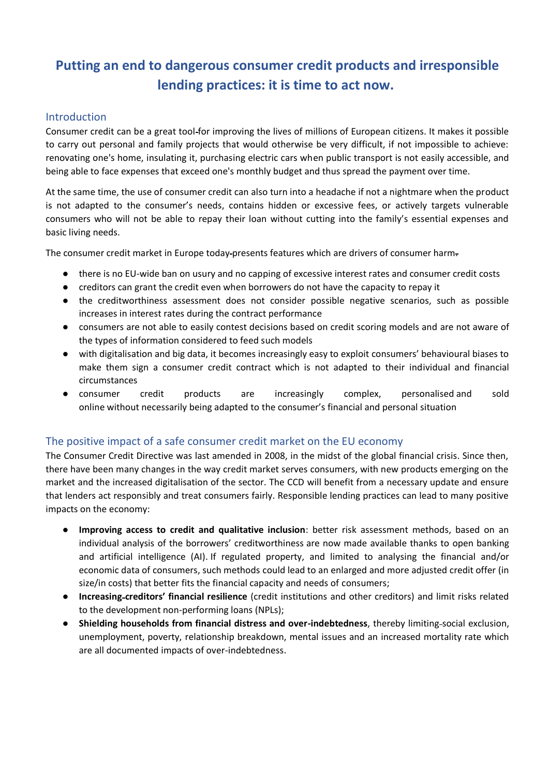# **Putting an end to dangerous consumer credit products and irresponsible lending practices: it is time to act now.**

#### Introduction

Consumer credit can be a great tool for improving the lives of millions of European citizens. It makes it possible to carry out personal and family projects that would otherwise be very difficult, if not impossible to achieve: renovating one's home, insulating it, purchasing electric cars when public transport is not easily accessible, and being able to face expenses that exceed one's monthly budget and thus spread the payment over time.

At the same time, the use of consumer credit can also turn into a headache if not a nightmare when the product is not adapted to the consumer's needs, contains hidden or excessive fees, or actively targets vulnerable consumers who will not be able to repay their loan without cutting into the family's essential expenses and basic living needs.

The consumer credit market in Europe today-presents features which are drivers of consumer harm-

- there is no EU-wide ban on usury and no capping of excessive interest rates and consumer credit costs
- creditors can grant the credit even when borrowers do not have the capacity to repay it
- the creditworthiness assessment does not consider possible negative scenarios, such as possible increases in interest rates during the contract performance
- consumers are not able to easily contest decisions based on credit scoring models and are not aware of the types of information considered to feed such models
- with digitalisation and big data, it becomes increasingly easy to exploit consumers' behavioural biases to make them sign a consumer credit contract which is not adapted to their individual and financial circumstances
- consumer credit products are increasingly complex, personalised and sold online without necessarily being adapted to the consumer's financial and personal situation

## The positive impact of a safe consumer credit market on the EU economy

The Consumer Credit Directive was last amended in 2008, in the midst of the global financial crisis. Since then, there have been many changes in the way credit market serves consumers, with new products emerging on the market and the increased digitalisation of the sector. The CCD will benefit from a necessary update and ensure that lenders act responsibly and treat consumers fairly. Responsible lending practices can lead to many positive impacts on the economy:

- **Improving access to credit and qualitative inclusion**: better risk assessment methods, based on an individual analysis of the borrowers' creditworthiness are now made available thanks to open banking and artificial intelligence (AI). If regulated property, and limited to analysing the financial and/or economic data of consumers, such methods could lead to an enlarged and more adjusted credit offer (in size/in costs) that better fits the financial capacity and needs of consumers;
- **Increasing creditors' financial resilience** (credit institutions and other creditors) and limit risks related to the development non-performing loans (NPLs);
- **Shielding households from financial distress and over-indebtedness**, thereby limiting social exclusion, unemployment, poverty, relationship breakdown, mental issues and an increased mortality rate which are all documented impacts of over-indebtedness.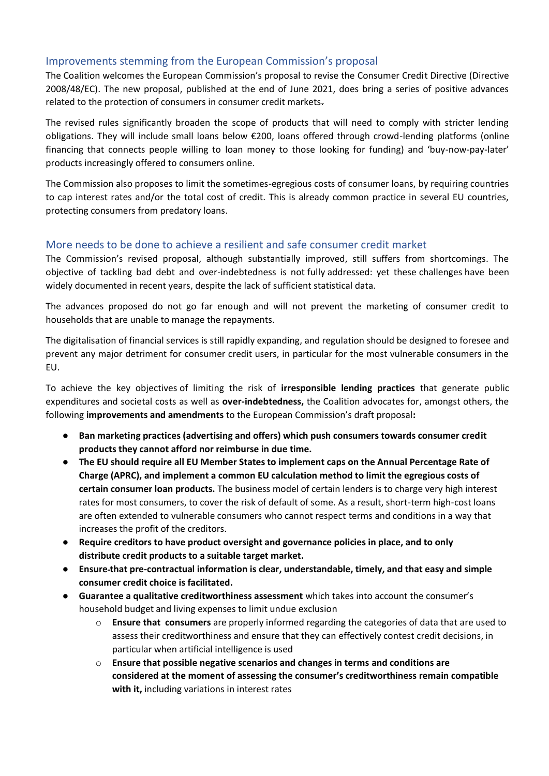## Improvements stemming from the European Commission's proposal

The Coalition welcomes the European Commission's proposal to revise the Consumer Credit Directive [\(Directive](https://eur-lex.europa.eu/LexUriServ/LexUriServ.do?uri=OJ%3AL%3A2008%3A133%3A0066%3A0092%3AEN%3APDF)  [2008/48/EC\)](https://eur-lex.europa.eu/LexUriServ/LexUriServ.do?uri=OJ%3AL%3A2008%3A133%3A0066%3A0092%3AEN%3APDF). The [new proposal,](https://ec.europa.eu/info/sites/default/files/new_proposal_ccd_en_3.pdf) published at the end of June 2021, does bring a series of positive advances related to the protection of consumers in consumer credit markets.

The revised rules significantly broaden the scope of products that will need to comply with stricter lending obligations. They will include small loans below €200, loans offered through crowd-lending platforms (online financing that connects people willing to loan money to those looking for funding) and 'buy-now-pay-later' products increasingly offered to consumers online.

The Commission also proposes to limit the sometimes-egregious costs of consumer loans, by requiring countries to cap interest rates and/or the total cost of credit. This is already common practice in several EU countries, protecting consumers from predatory loans.

#### More needs to be done to achieve a resilient and safe consumer credit market

The Commission's revised proposal, although substantially improved, still suffers from shortcomings. The objective of tackling bad debt and over-indebtedness is not fully addressed: yet these challenges have been widely documented in recent years, despite the lack of sufficient statistical data.

The advances proposed do not go far enough and will not prevent the marketing of consumer credit to households that are unable to manage the repayments.

The digitalisation of financial services is still rapidly expanding, and regulation should be designed to foresee and prevent any major detriment for consumer credit users, in particular for the most vulnerable consumers in the EU.

To achieve the key objectives of limiting the risk of **irresponsible lending practices** that generate public expenditures and societal costs as well as **over-indebtedness,** the Coalition advocates for, amongst others, the following **improvements and amendments** to the European Commission's draft proposal**:**

- **Ban marketing practices (advertising and offers) which push consumers towards consumer credit products they cannot afford nor reimburse in due time.**
- **The EU should require all EU Member States to implement caps on the Annual Percentage Rate of Charge (APRC), and implement a common EU calculation method to limit the egregious costs of certain consumer loan products.** The business model of certain lenders is to charge very high interest rates for most consumers, to cover the risk of default of some. As a result, short-term high-cost loans are often extended to vulnerable consumers who cannot respect terms and conditions in a way that increases the profit of the creditors.
- **Require creditors to have product oversight and governance policies in place, and to only distribute credit products to a suitable target market.**
- **Ensure that pre-contractual information is clear, understandable, timely, and that easy and simple consumer credit choice is facilitated.**
- **Guarantee a qualitative creditworthiness assessment** which takes into account the consumer's household budget and living expenses to limit undue exclusion
	- o **Ensure that consumers** are properly informed regarding the categories of data that are used to assess their creditworthiness and ensure that they can effectively contest credit decisions, in particular when artificial intelligence is used
	- o **Ensure that possible negative scenarios and changes in terms and conditions are considered at the moment of assessing the consumer's creditworthiness remain compatible with it,** including variations in interest rates